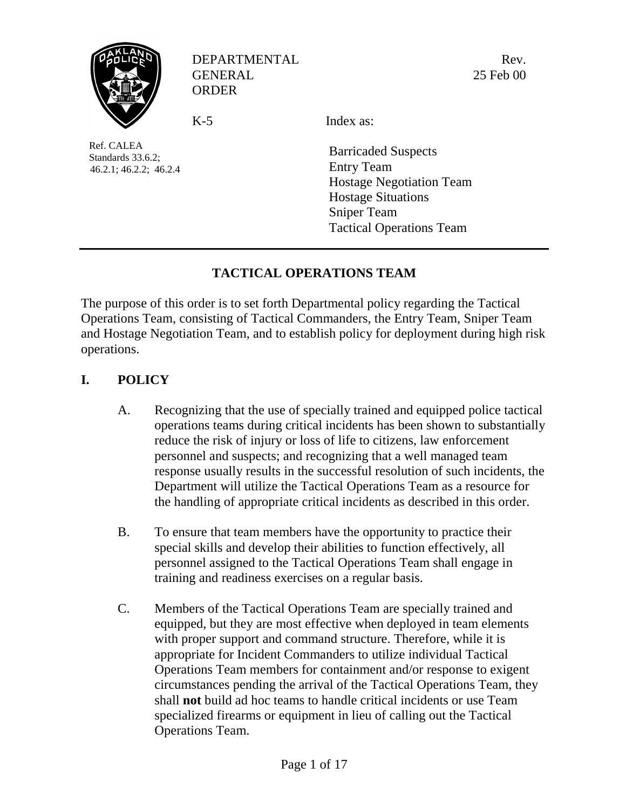

DEPARTMENTAL GENERAL ORDER

Rev. 25 Feb 00

 $K-5$ 

Ref. CALEA Standards 33.6.2; 46.2.1; 46.2.2; 46.2.4 Index as:

Barricaded Suspects Entry Team Hostage Negotiation Team Hostage Situations Sniper Team Tactical Operations Team

# **TACTICAL OPERATIONS TEAM**

The purpose of this order is to set forth Departmental policy regarding the Tactical Operations Team, consisting of Tactical Commanders, the Entry Team, Sniper Team and Hostage Negotiation Team, and to establish policy for deployment during high risk operations.

# **I. POLICY**

- A. Recognizing that the use of specially trained and equipped police tactical operations teams during critical incidents has been shown to substantially reduce the risk of injury or loss of life to citizens, law enforcement personnel and suspects; and recognizing that a well managed team response usually results in the successful resolution of such incidents, the Department will utilize the Tactical Operations Team as a resource for the handling of appropriate critical incidents as described in this order.
- B. To ensure that team members have the opportunity to practice their special skills and develop their abilities to function effectively, all personnel assigned to the Tactical Operations Team shall engage in training and readiness exercises on a regular basis.
- C. Members of the Tactical Operations Team are specially trained and equipped, but they are most effective when deployed in team elements with proper support and command structure. Therefore, while it is appropriate for Incident Commanders to utilize individual Tactical Operations Team members for containment and/or response to exigent circumstances pending the arrival of the Tactical Operations Team, they shall **not** build ad hoc teams to handle critical incidents or use Team specialized firearms or equipment in lieu of calling out the Tactical Operations Team.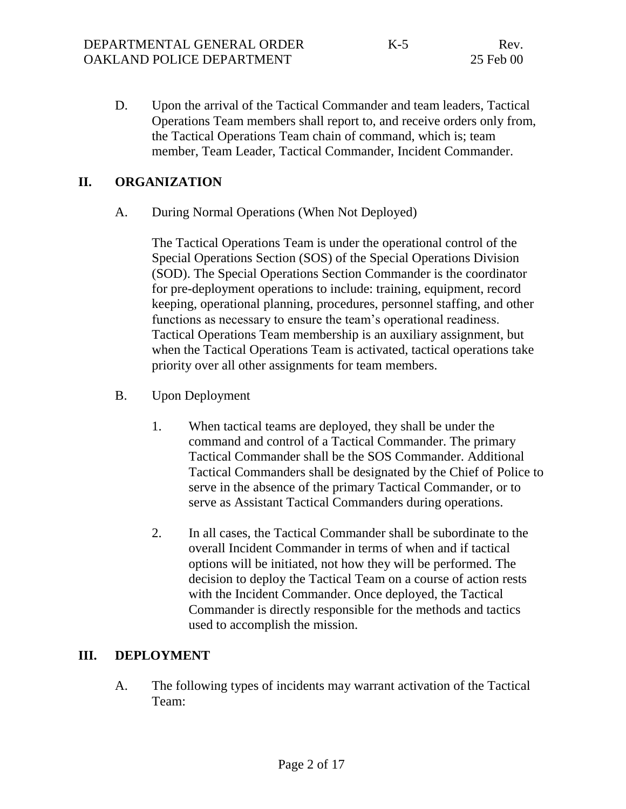D. Upon the arrival of the Tactical Commander and team leaders, Tactical Operations Team members shall report to, and receive orders only from, the Tactical Operations Team chain of command, which is; team member, Team Leader, Tactical Commander, Incident Commander.

## **II. ORGANIZATION**

A. During Normal Operations (When Not Deployed)

The Tactical Operations Team is under the operational control of the Special Operations Section (SOS) of the Special Operations Division (SOD). The Special Operations Section Commander is the coordinator for pre-deployment operations to include: training, equipment, record keeping, operational planning, procedures, personnel staffing, and other functions as necessary to ensure the team's operational readiness. Tactical Operations Team membership is an auxiliary assignment, but when the Tactical Operations Team is activated, tactical operations take priority over all other assignments for team members.

- B. Upon Deployment
	- 1. When tactical teams are deployed, they shall be under the command and control of a Tactical Commander. The primary Tactical Commander shall be the SOS Commander. Additional Tactical Commanders shall be designated by the Chief of Police to serve in the absence of the primary Tactical Commander, or to serve as Assistant Tactical Commanders during operations.
	- 2. In all cases, the Tactical Commander shall be subordinate to the overall Incident Commander in terms of when and if tactical options will be initiated, not how they will be performed. The decision to deploy the Tactical Team on a course of action rests with the Incident Commander. Once deployed, the Tactical Commander is directly responsible for the methods and tactics used to accomplish the mission.

#### **III. DEPLOYMENT**

A. The following types of incidents may warrant activation of the Tactical Team: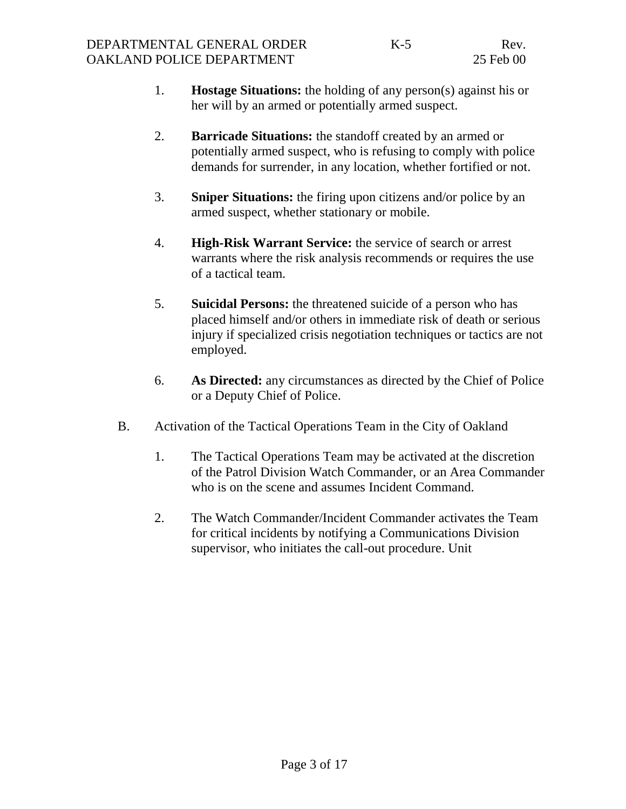- 1. **Hostage Situations:** the holding of any person(s) against his or her will by an armed or potentially armed suspect.
- 2. **Barricade Situations:** the standoff created by an armed or potentially armed suspect, who is refusing to comply with police demands for surrender, in any location, whether fortified or not.
- 3. **Sniper Situations:** the firing upon citizens and/or police by an armed suspect, whether stationary or mobile.
- 4. **High-Risk Warrant Service:** the service of search or arrest warrants where the risk analysis recommends or requires the use of a tactical team.
- 5. **Suicidal Persons:** the threatened suicide of a person who has placed himself and/or others in immediate risk of death or serious injury if specialized crisis negotiation techniques or tactics are not employed.
- 6. **As Directed:** any circumstances as directed by the Chief of Police or a Deputy Chief of Police.
- B. Activation of the Tactical Operations Team in the City of Oakland
	- 1. The Tactical Operations Team may be activated at the discretion of the Patrol Division Watch Commander, or an Area Commander who is on the scene and assumes Incident Command.
	- 2. The Watch Commander/Incident Commander activates the Team for critical incidents by notifying a Communications Division supervisor, who initiates the call-out procedure. Unit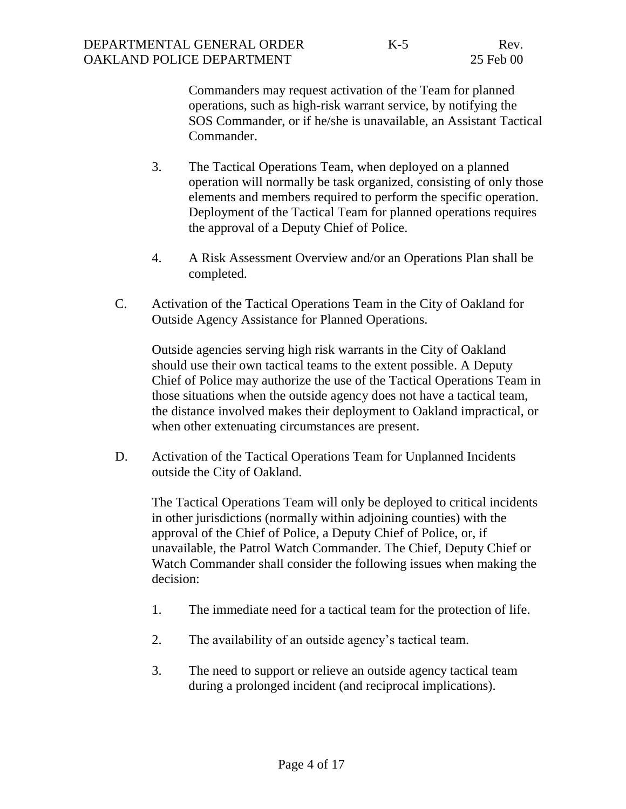Commanders may request activation of the Team for planned operations, such as high-risk warrant service, by notifying the SOS Commander, or if he/she is unavailable, an Assistant Tactical Commander.

- 3. The Tactical Operations Team, when deployed on a planned operation will normally be task organized, consisting of only those elements and members required to perform the specific operation. Deployment of the Tactical Team for planned operations requires the approval of a Deputy Chief of Police.
- 4. A Risk Assessment Overview and/or an Operations Plan shall be completed.
- C. Activation of the Tactical Operations Team in the City of Oakland for Outside Agency Assistance for Planned Operations.

Outside agencies serving high risk warrants in the City of Oakland should use their own tactical teams to the extent possible. A Deputy Chief of Police may authorize the use of the Tactical Operations Team in those situations when the outside agency does not have a tactical team, the distance involved makes their deployment to Oakland impractical, or when other extenuating circumstances are present.

D. Activation of the Tactical Operations Team for Unplanned Incidents outside the City of Oakland.

The Tactical Operations Team will only be deployed to critical incidents in other jurisdictions (normally within adjoining counties) with the approval of the Chief of Police, a Deputy Chief of Police, or, if unavailable, the Patrol Watch Commander. The Chief, Deputy Chief or Watch Commander shall consider the following issues when making the decision:

- 1. The immediate need for a tactical team for the protection of life.
- 2. The availability of an outside agency's tactical team.
- 3. The need to support or relieve an outside agency tactical team during a prolonged incident (and reciprocal implications).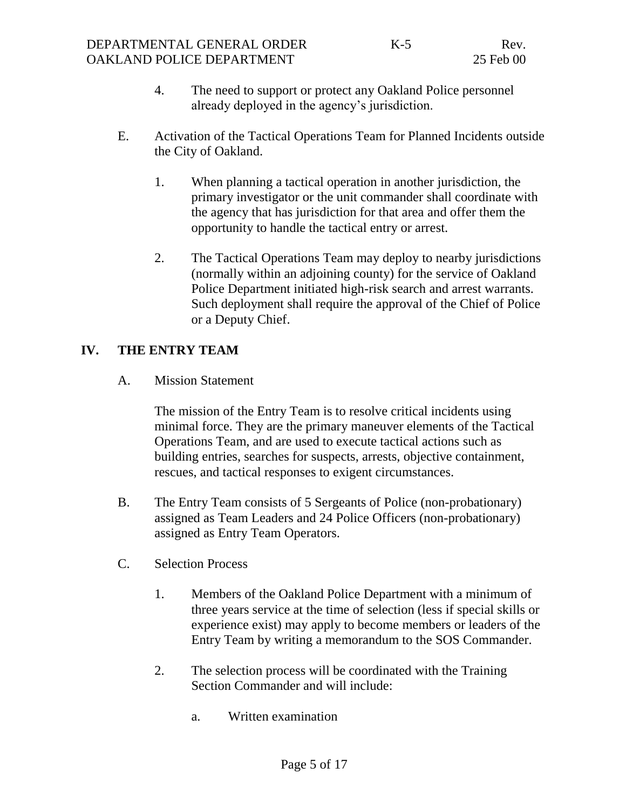- 4. The need to support or protect any Oakland Police personnel already deployed in the agency's jurisdiction.
- E. Activation of the Tactical Operations Team for Planned Incidents outside the City of Oakland.
	- 1. When planning a tactical operation in another jurisdiction, the primary investigator or the unit commander shall coordinate with the agency that has jurisdiction for that area and offer them the opportunity to handle the tactical entry or arrest.
	- 2. The Tactical Operations Team may deploy to nearby jurisdictions (normally within an adjoining county) for the service of Oakland Police Department initiated high-risk search and arrest warrants. Such deployment shall require the approval of the Chief of Police or a Deputy Chief.

## **IV. THE ENTRY TEAM**

A. Mission Statement

The mission of the Entry Team is to resolve critical incidents using minimal force. They are the primary maneuver elements of the Tactical Operations Team, and are used to execute tactical actions such as building entries, searches for suspects, arrests, objective containment, rescues, and tactical responses to exigent circumstances.

- B. The Entry Team consists of 5 Sergeants of Police (non-probationary) assigned as Team Leaders and 24 Police Officers (non-probationary) assigned as Entry Team Operators.
- C. Selection Process
	- 1. Members of the Oakland Police Department with a minimum of three years service at the time of selection (less if special skills or experience exist) may apply to become members or leaders of the Entry Team by writing a memorandum to the SOS Commander.
	- 2. The selection process will be coordinated with the Training Section Commander and will include:
		- a. Written examination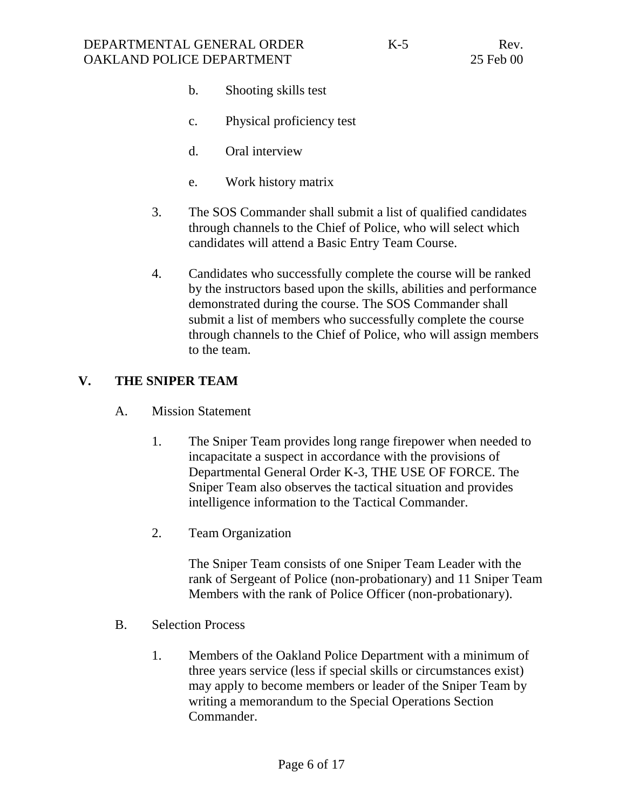- b. Shooting skills test
- c. Physical proficiency test
- d. Oral interview
- e. Work history matrix
- 3. The SOS Commander shall submit a list of qualified candidates through channels to the Chief of Police, who will select which candidates will attend a Basic Entry Team Course.
- 4. Candidates who successfully complete the course will be ranked by the instructors based upon the skills, abilities and performance demonstrated during the course. The SOS Commander shall submit a list of members who successfully complete the course through channels to the Chief of Police, who will assign members to the team.

# **V. THE SNIPER TEAM**

- A. Mission Statement
	- 1. The Sniper Team provides long range firepower when needed to incapacitate a suspect in accordance with the provisions of Departmental General Order K-3, THE USE OF FORCE. The Sniper Team also observes the tactical situation and provides intelligence information to the Tactical Commander.
	- 2. Team Organization

The Sniper Team consists of one Sniper Team Leader with the rank of Sergeant of Police (non-probationary) and 11 Sniper Team Members with the rank of Police Officer (non-probationary).

- B. Selection Process
	- 1. Members of the Oakland Police Department with a minimum of three years service (less if special skills or circumstances exist) may apply to become members or leader of the Sniper Team by writing a memorandum to the Special Operations Section Commander.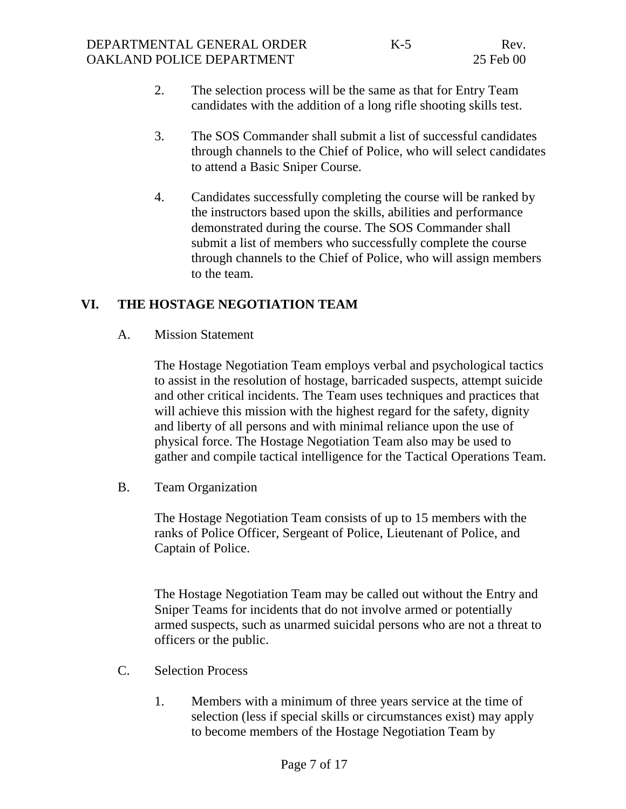- 2. The selection process will be the same as that for Entry Team candidates with the addition of a long rifle shooting skills test.
- 3. The SOS Commander shall submit a list of successful candidates through channels to the Chief of Police, who will select candidates to attend a Basic Sniper Course.
- 4. Candidates successfully completing the course will be ranked by the instructors based upon the skills, abilities and performance demonstrated during the course. The SOS Commander shall submit a list of members who successfully complete the course through channels to the Chief of Police, who will assign members to the team.

## **VI. THE HOSTAGE NEGOTIATION TEAM**

A. Mission Statement

The Hostage Negotiation Team employs verbal and psychological tactics to assist in the resolution of hostage, barricaded suspects, attempt suicide and other critical incidents. The Team uses techniques and practices that will achieve this mission with the highest regard for the safety, dignity and liberty of all persons and with minimal reliance upon the use of physical force. The Hostage Negotiation Team also may be used to gather and compile tactical intelligence for the Tactical Operations Team.

B. Team Organization

The Hostage Negotiation Team consists of up to 15 members with the ranks of Police Officer, Sergeant of Police, Lieutenant of Police, and Captain of Police.

The Hostage Negotiation Team may be called out without the Entry and Sniper Teams for incidents that do not involve armed or potentially armed suspects, such as unarmed suicidal persons who are not a threat to officers or the public.

- C. Selection Process
	- 1. Members with a minimum of three years service at the time of selection (less if special skills or circumstances exist) may apply to become members of the Hostage Negotiation Team by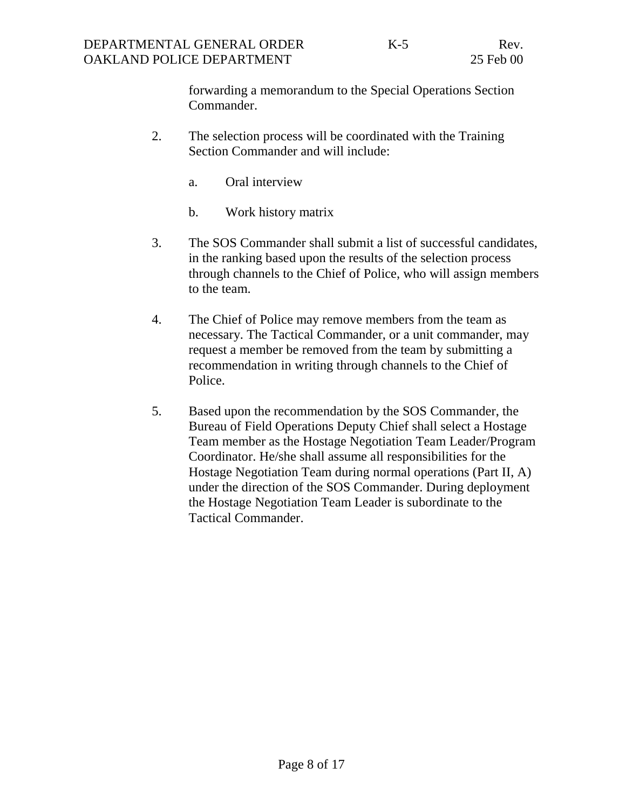forwarding a memorandum to the Special Operations Section Commander.

- 2. The selection process will be coordinated with the Training Section Commander and will include:
	- a. Oral interview
	- b. Work history matrix
- 3. The SOS Commander shall submit a list of successful candidates, in the ranking based upon the results of the selection process through channels to the Chief of Police, who will assign members to the team.
- 4. The Chief of Police may remove members from the team as necessary. The Tactical Commander, or a unit commander, may request a member be removed from the team by submitting a recommendation in writing through channels to the Chief of Police.
- 5. Based upon the recommendation by the SOS Commander, the Bureau of Field Operations Deputy Chief shall select a Hostage Team member as the Hostage Negotiation Team Leader/Program Coordinator. He/she shall assume all responsibilities for the Hostage Negotiation Team during normal operations (Part II, A) under the direction of the SOS Commander. During deployment the Hostage Negotiation Team Leader is subordinate to the Tactical Commander.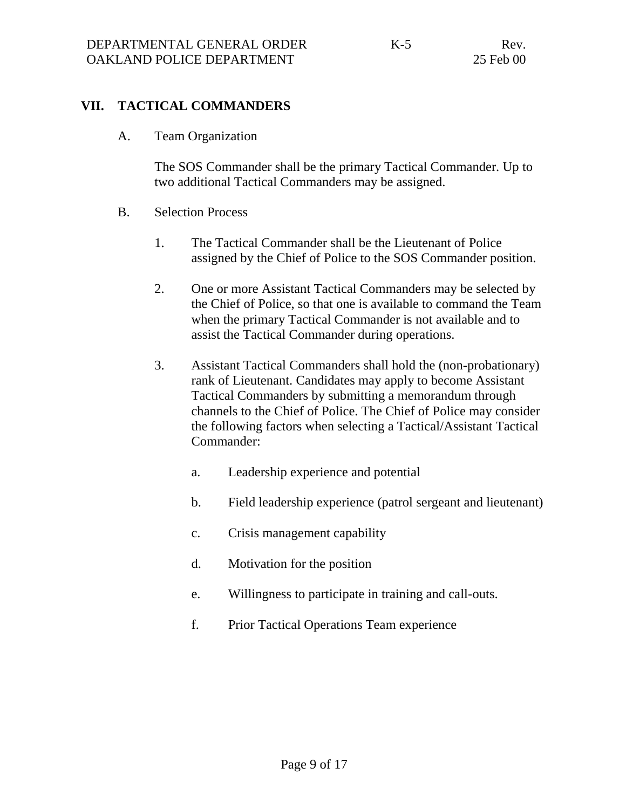# **VII. TACTICAL COMMANDERS**

A. Team Organization

The SOS Commander shall be the primary Tactical Commander. Up to two additional Tactical Commanders may be assigned.

- B. Selection Process
	- 1. The Tactical Commander shall be the Lieutenant of Police assigned by the Chief of Police to the SOS Commander position.
	- 2. One or more Assistant Tactical Commanders may be selected by the Chief of Police, so that one is available to command the Team when the primary Tactical Commander is not available and to assist the Tactical Commander during operations.
	- 3. Assistant Tactical Commanders shall hold the (non-probationary) rank of Lieutenant. Candidates may apply to become Assistant Tactical Commanders by submitting a memorandum through channels to the Chief of Police. The Chief of Police may consider the following factors when selecting a Tactical/Assistant Tactical Commander:
		- a. Leadership experience and potential
		- b. Field leadership experience (patrol sergeant and lieutenant)
		- c. Crisis management capability
		- d. Motivation for the position
		- e. Willingness to participate in training and call-outs.
		- f. Prior Tactical Operations Team experience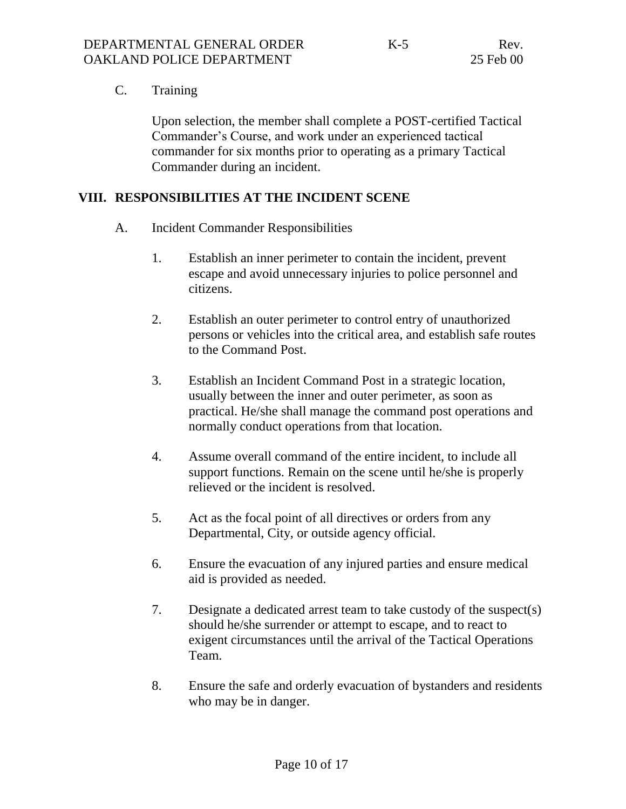#### C. Training

Upon selection, the member shall complete a POST-certified Tactical Commander's Course, and work under an experienced tactical commander for six months prior to operating as a primary Tactical Commander during an incident.

# **VIII. RESPONSIBILITIES AT THE INCIDENT SCENE**

- A. Incident Commander Responsibilities
	- 1. Establish an inner perimeter to contain the incident, prevent escape and avoid unnecessary injuries to police personnel and citizens.
	- 2. Establish an outer perimeter to control entry of unauthorized persons or vehicles into the critical area, and establish safe routes to the Command Post.
	- 3. Establish an Incident Command Post in a strategic location, usually between the inner and outer perimeter, as soon as practical. He/she shall manage the command post operations and normally conduct operations from that location.
	- 4. Assume overall command of the entire incident, to include all support functions. Remain on the scene until he/she is properly relieved or the incident is resolved.
	- 5. Act as the focal point of all directives or orders from any Departmental, City, or outside agency official.
	- 6. Ensure the evacuation of any injured parties and ensure medical aid is provided as needed.
	- 7. Designate a dedicated arrest team to take custody of the suspect(s) should he/she surrender or attempt to escape, and to react to exigent circumstances until the arrival of the Tactical Operations Team.
	- 8. Ensure the safe and orderly evacuation of bystanders and residents who may be in danger.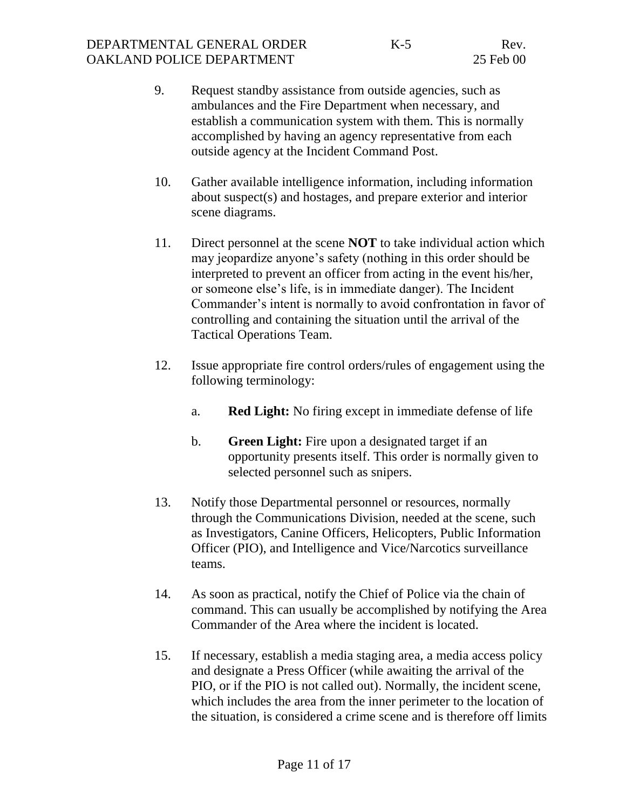- 9. Request standby assistance from outside agencies, such as ambulances and the Fire Department when necessary, and establish a communication system with them. This is normally accomplished by having an agency representative from each outside agency at the Incident Command Post.
- 10. Gather available intelligence information, including information about suspect(s) and hostages, and prepare exterior and interior scene diagrams.
- 11. Direct personnel at the scene **NOT** to take individual action which may jeopardize anyone's safety (nothing in this order should be interpreted to prevent an officer from acting in the event his/her, or someone else's life, is in immediate danger). The Incident Commander's intent is normally to avoid confrontation in favor of controlling and containing the situation until the arrival of the Tactical Operations Team.
- 12. Issue appropriate fire control orders/rules of engagement using the following terminology:
	- a. **Red Light:** No firing except in immediate defense of life
	- b. **Green Light:** Fire upon a designated target if an opportunity presents itself. This order is normally given to selected personnel such as snipers.
- 13. Notify those Departmental personnel or resources, normally through the Communications Division, needed at the scene, such as Investigators, Canine Officers, Helicopters, Public Information Officer (PIO), and Intelligence and Vice/Narcotics surveillance teams.
- 14. As soon as practical, notify the Chief of Police via the chain of command. This can usually be accomplished by notifying the Area Commander of the Area where the incident is located.
- 15. If necessary, establish a media staging area, a media access policy and designate a Press Officer (while awaiting the arrival of the PIO, or if the PIO is not called out). Normally, the incident scene, which includes the area from the inner perimeter to the location of the situation, is considered a crime scene and is therefore off limits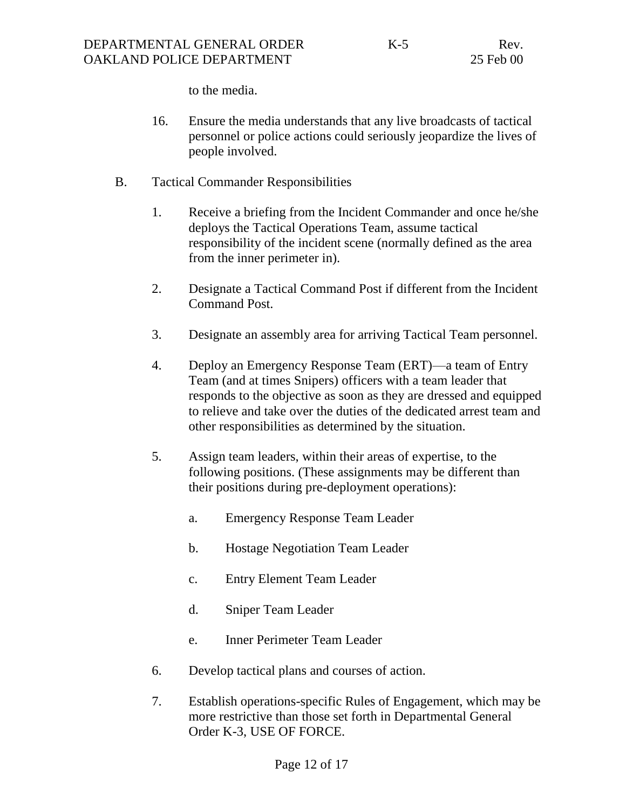to the media.

- 16. Ensure the media understands that any live broadcasts of tactical personnel or police actions could seriously jeopardize the lives of people involved.
- B. Tactical Commander Responsibilities
	- 1. Receive a briefing from the Incident Commander and once he/she deploys the Tactical Operations Team, assume tactical responsibility of the incident scene (normally defined as the area from the inner perimeter in).
	- 2. Designate a Tactical Command Post if different from the Incident Command Post.
	- 3. Designate an assembly area for arriving Tactical Team personnel.
	- 4. Deploy an Emergency Response Team (ERT)—a team of Entry Team (and at times Snipers) officers with a team leader that responds to the objective as soon as they are dressed and equipped to relieve and take over the duties of the dedicated arrest team and other responsibilities as determined by the situation.
	- 5. Assign team leaders, within their areas of expertise, to the following positions. (These assignments may be different than their positions during pre-deployment operations):
		- a. Emergency Response Team Leader
		- b. Hostage Negotiation Team Leader
		- c. Entry Element Team Leader
		- d. Sniper Team Leader
		- e. Inner Perimeter Team Leader
	- 6. Develop tactical plans and courses of action.
	- 7. Establish operations-specific Rules of Engagement, which may be more restrictive than those set forth in Departmental General Order K-3, USE OF FORCE.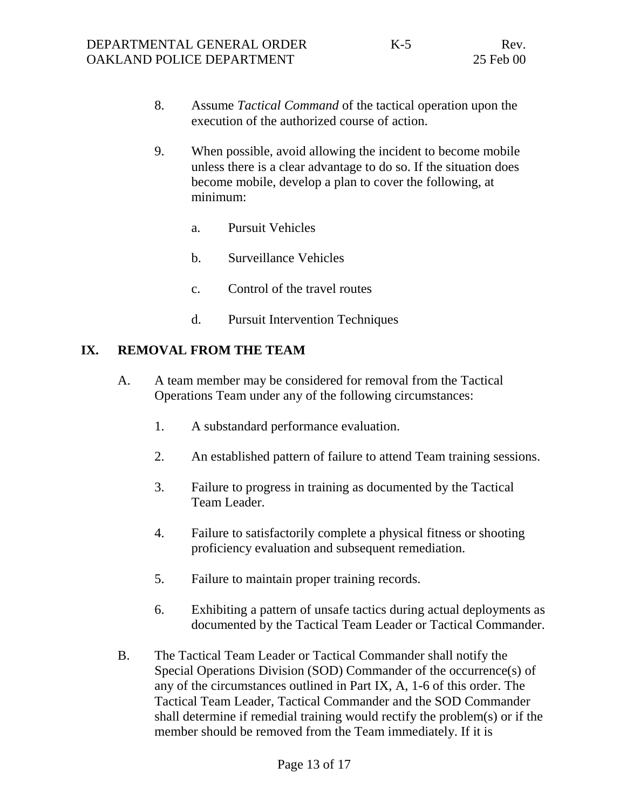25 Feb 00

- 9. When possible, avoid allowing the incident to become mobile unless there is a clear advantage to do so. If the situation does become mobile, develop a plan to cover the following, at minimum:
	- a. Pursuit Vehicles
	- b. Surveillance Vehicles
	- c. Control of the travel routes
	- d. Pursuit Intervention Techniques

## **IX. REMOVAL FROM THE TEAM**

- A. A team member may be considered for removal from the Tactical Operations Team under any of the following circumstances:
	- 1. A substandard performance evaluation.
	- 2. An established pattern of failure to attend Team training sessions.
	- 3. Failure to progress in training as documented by the Tactical Team Leader.
	- 4. Failure to satisfactorily complete a physical fitness or shooting proficiency evaluation and subsequent remediation.
	- 5. Failure to maintain proper training records.
	- 6. Exhibiting a pattern of unsafe tactics during actual deployments as documented by the Tactical Team Leader or Tactical Commander.
- B. The Tactical Team Leader or Tactical Commander shall notify the Special Operations Division (SOD) Commander of the occurrence(s) of any of the circumstances outlined in Part IX, A, 1-6 of this order. The Tactical Team Leader, Tactical Commander and the SOD Commander shall determine if remedial training would rectify the problem(s) or if the member should be removed from the Team immediately. If it is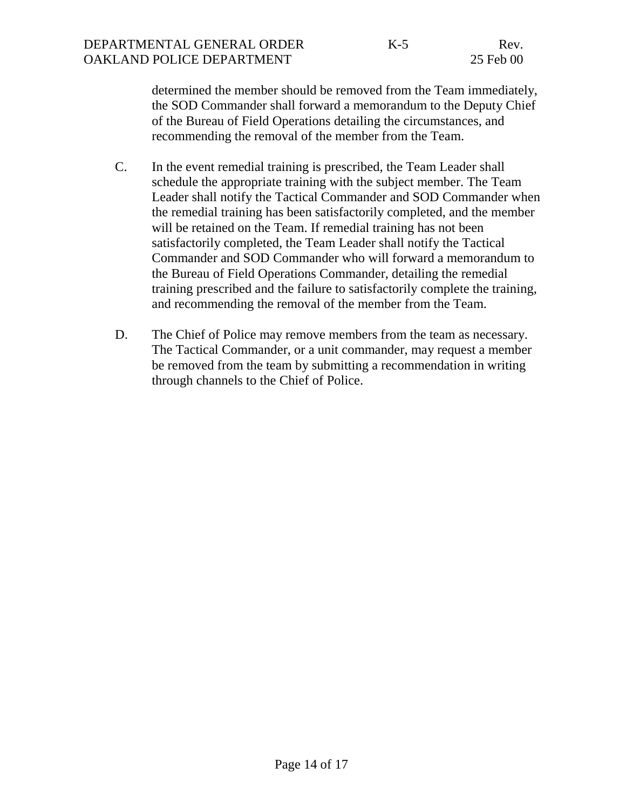determined the member should be removed from the Team immediately, the SOD Commander shall forward a memorandum to the Deputy Chief of the Bureau of Field Operations detailing the circumstances, and recommending the removal of the member from the Team.

- C. In the event remedial training is prescribed, the Team Leader shall schedule the appropriate training with the subject member. The Team Leader shall notify the Tactical Commander and SOD Commander when the remedial training has been satisfactorily completed, and the member will be retained on the Team. If remedial training has not been satisfactorily completed, the Team Leader shall notify the Tactical Commander and SOD Commander who will forward a memorandum to the Bureau of Field Operations Commander, detailing the remedial training prescribed and the failure to satisfactorily complete the training, and recommending the removal of the member from the Team.
- D. The Chief of Police may remove members from the team as necessary. The Tactical Commander, or a unit commander, may request a member be removed from the team by submitting a recommendation in writing through channels to the Chief of Police.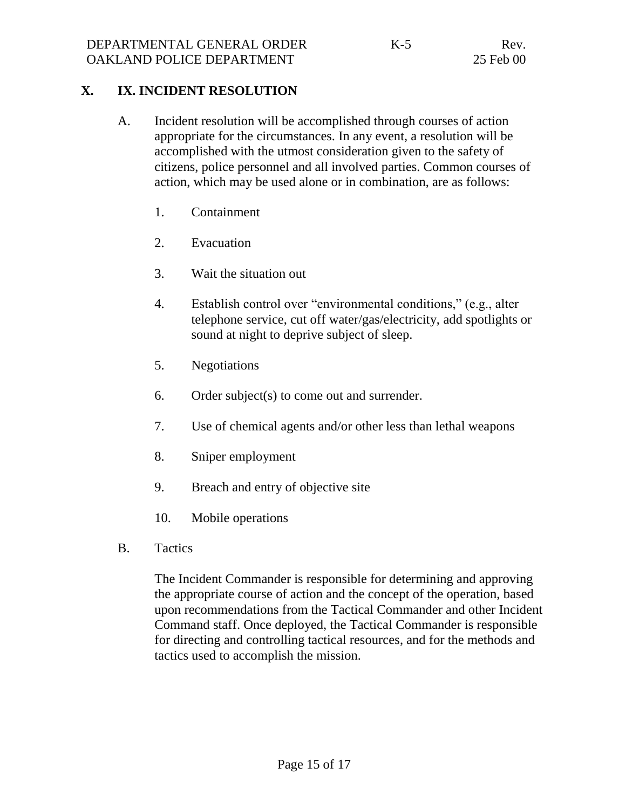## **X. IX. INCIDENT RESOLUTION**

- A. Incident resolution will be accomplished through courses of action appropriate for the circumstances. In any event, a resolution will be accomplished with the utmost consideration given to the safety of citizens, police personnel and all involved parties. Common courses of action, which may be used alone or in combination, are as follows:
	- 1. Containment
	- 2. Evacuation
	- 3. Wait the situation out
	- 4. Establish control over "environmental conditions," (e.g., alter telephone service, cut off water/gas/electricity, add spotlights or sound at night to deprive subject of sleep.
	- 5. Negotiations
	- 6. Order subject(s) to come out and surrender.
	- 7. Use of chemical agents and/or other less than lethal weapons
	- 8. Sniper employment
	- 9. Breach and entry of objective site
	- 10. Mobile operations
- B. Tactics

The Incident Commander is responsible for determining and approving the appropriate course of action and the concept of the operation, based upon recommendations from the Tactical Commander and other Incident Command staff. Once deployed, the Tactical Commander is responsible for directing and controlling tactical resources, and for the methods and tactics used to accomplish the mission.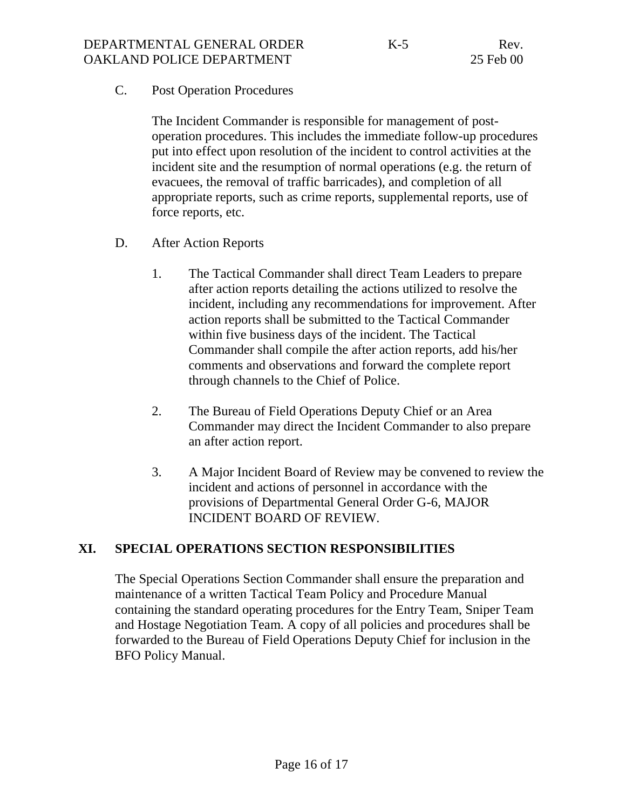#### C. Post Operation Procedures

The Incident Commander is responsible for management of postoperation procedures. This includes the immediate follow-up procedures put into effect upon resolution of the incident to control activities at the incident site and the resumption of normal operations (e.g. the return of evacuees, the removal of traffic barricades), and completion of all appropriate reports, such as crime reports, supplemental reports, use of force reports, etc.

- D. After Action Reports
	- 1. The Tactical Commander shall direct Team Leaders to prepare after action reports detailing the actions utilized to resolve the incident, including any recommendations for improvement. After action reports shall be submitted to the Tactical Commander within five business days of the incident. The Tactical Commander shall compile the after action reports, add his/her comments and observations and forward the complete report through channels to the Chief of Police.
	- 2. The Bureau of Field Operations Deputy Chief or an Area Commander may direct the Incident Commander to also prepare an after action report.
	- 3. A Major Incident Board of Review may be convened to review the incident and actions of personnel in accordance with the provisions of Departmental General Order G-6, MAJOR INCIDENT BOARD OF REVIEW.

# **XI. SPECIAL OPERATIONS SECTION RESPONSIBILITIES**

The Special Operations Section Commander shall ensure the preparation and maintenance of a written Tactical Team Policy and Procedure Manual containing the standard operating procedures for the Entry Team, Sniper Team and Hostage Negotiation Team. A copy of all policies and procedures shall be forwarded to the Bureau of Field Operations Deputy Chief for inclusion in the BFO Policy Manual.